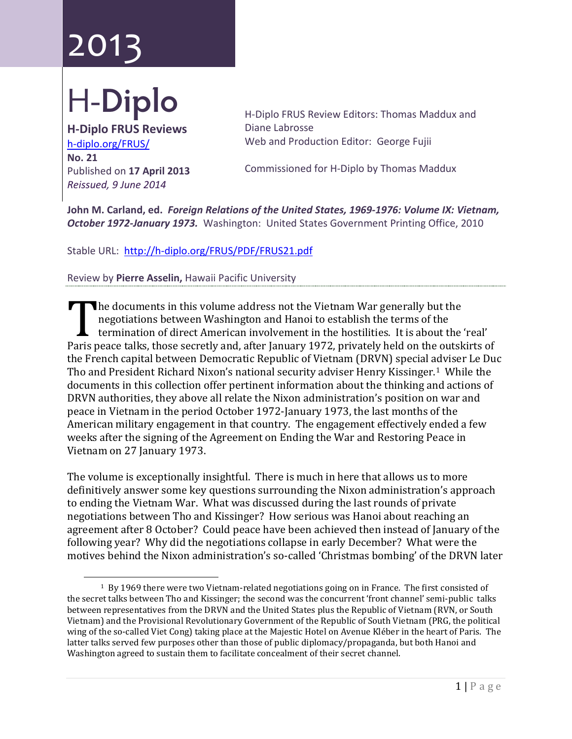## ר 10ט 2013

## H-**Diplo**

**H-Diplo FRUS Reviews** [h-diplo.org/FRUS/](http://h-diplo.org/FRUS/) **No. 21** Published on **17 April 2013** *Reissued, 9 June 2014*

H-Diplo FRUS Review Editors: Thomas Maddux and Diane Labrosse Web and Production Editor: George Fujii

Commissioned for H-Diplo by Thomas Maddux

**John M. Carland, ed.** *Foreign Relations of the United States, 1969-1976: Volume IX: Vietnam, October 1972-January 1973.* Washington: United States Government Printing Office, 2010

Stable URL: <http://h-diplo.org/FRUS/PDF/FRUS21.pdf>

Review by **Pierre Asselin,** Hawaii Pacific University

he documents in this volume address not the Vietnam War generally but the negotiations between Washington and Hanoi to establish the terms of the termination of direct American involvement in the hostilities. It is about the 'real' Internation of direct American involvement in the hostilities. It is about the 'real'<br>Paris peace talks, those secretly and, after January 1972, privately held on the outskirts of<br>the French capital between Democratic Bopy the French capital between Democratic Republic of Vietnam (DRVN) special adviser Le Duc Tho and President Richard Nixon's national security adviser Henry Kissinger.<sup>[1](#page-0-0)</sup> While the documents in this collection offer pertinent information about the thinking and actions of DRVN authorities, they above all relate the Nixon administration's position on war and peace in Vietnam in the period October 1972-January 1973, the last months of the American military engagement in that country. The engagement effectively ended a few weeks after the signing of the Agreement on Ending the War and Restoring Peace in Vietnam on 27 January 1973.

The volume is exceptionally insightful. There is much in here that allows us to more definitively answer some key questions surrounding the Nixon administration's approach to ending the Vietnam War. What was discussed during the last rounds of private negotiations between Tho and Kissinger? How serious was Hanoi about reaching an agreement after 8 October? Could peace have been achieved then instead of January of the following year? Why did the negotiations collapse in early December? What were the motives behind the Nixon administration's so-called 'Christmas bombing' of the DRVN later

<span id="page-0-0"></span><sup>1</sup> By 1969 there were two Vietnam-related negotiations going on in France. The first consisted of the secret talks between Tho and Kissinger; the second was the concurrent 'front channel' semi-public talks between representatives from the DRVN and the United States plus the Republic of Vietnam (RVN, or South Vietnam) and the Provisional Revolutionary Government of the Republic of South Vietnam (PRG, the political wing of the so-called Viet Cong) taking place at the Majestic Hotel on Avenue Kléber in the heart of Paris. The latter talks served few purposes other than those of public diplomacy/propaganda, but both Hanoi and Washington agreed to sustain them to facilitate concealment of their secret channel. i<br>I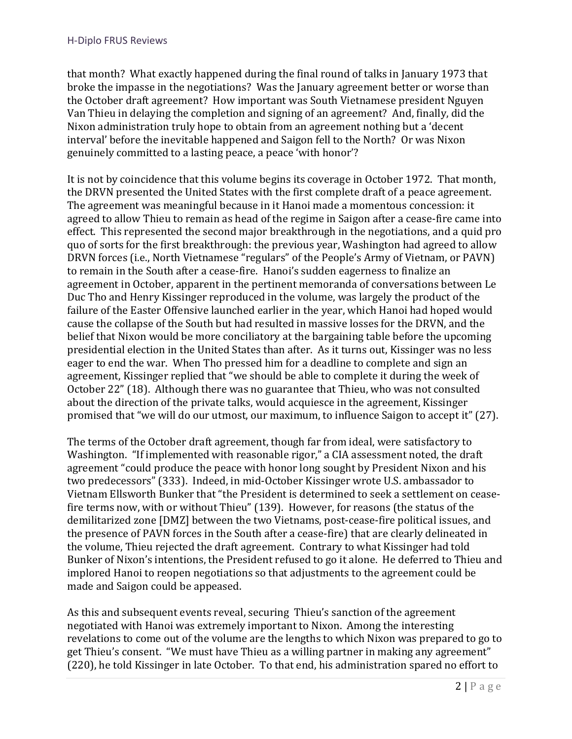that month? What exactly happened during the final round of talks in January 1973 that broke the impasse in the negotiations? Was the January agreement better or worse than the October draft agreement? How important was South Vietnamese president Nguyen Van Thieu in delaying the completion and signing of an agreement? And, finally, did the Nixon administration truly hope to obtain from an agreement nothing but a 'decent interval' before the inevitable happened and Saigon fell to the North? Or was Nixon genuinely committed to a lasting peace, a peace 'with honor'?

It is not by coincidence that this volume begins its coverage in October 1972. That month, the DRVN presented the United States with the first complete draft of a peace agreement. The agreement was meaningful because in it Hanoi made a momentous concession: it agreed to allow Thieu to remain as head of the regime in Saigon after a cease-fire came into effect. This represented the second major breakthrough in the negotiations, and a quid pro quo of sorts for the first breakthrough: the previous year, Washington had agreed to allow DRVN forces (i.e., North Vietnamese "regulars" of the People's Army of Vietnam, or PAVN) to remain in the South after a cease-fire. Hanoi's sudden eagerness to finalize an agreement in October, apparent in the pertinent memoranda of conversations between Le Duc Tho and Henry Kissinger reproduced in the volume, was largely the product of the failure of the Easter Offensive launched earlier in the year, which Hanoi had hoped would cause the collapse of the South but had resulted in massive losses for the DRVN, and the belief that Nixon would be more conciliatory at the bargaining table before the upcoming presidential election in the United States than after. As it turns out, Kissinger was no less eager to end the war. When Tho pressed him for a deadline to complete and sign an agreement, Kissinger replied that "we should be able to complete it during the week of October 22" (18). Although there was no guarantee that Thieu, who was not consulted about the direction of the private talks, would acquiesce in the agreement, Kissinger promised that "we will do our utmost, our maximum, to influence Saigon to accept it" (27).

The terms of the October draft agreement, though far from ideal, were satisfactory to Washington. "If implemented with reasonable rigor," a CIA assessment noted, the draft agreement "could produce the peace with honor long sought by President Nixon and his two predecessors" (333). Indeed, in mid-October Kissinger wrote U.S. ambassador to Vietnam Ellsworth Bunker that "the President is determined to seek a settlement on ceasefire terms now, with or without Thieu" (139). However, for reasons (the status of the demilitarized zone [DMZ] between the two Vietnams, post-cease-fire political issues, and the presence of PAVN forces in the South after a cease-fire) that are clearly delineated in the volume, Thieu rejected the draft agreement. Contrary to what Kissinger had told Bunker of Nixon's intentions, the President refused to go it alone. He deferred to Thieu and implored Hanoi to reopen negotiations so that adjustments to the agreement could be made and Saigon could be appeased.

As this and subsequent events reveal, securing Thieu's sanction of the agreement negotiated with Hanoi was extremely important to Nixon. Among the interesting revelations to come out of the volume are the lengths to which Nixon was prepared to go to get Thieu's consent. "We must have Thieu as a willing partner in making any agreement" (220), he told Kissinger in late October. To that end, his administration spared no effort to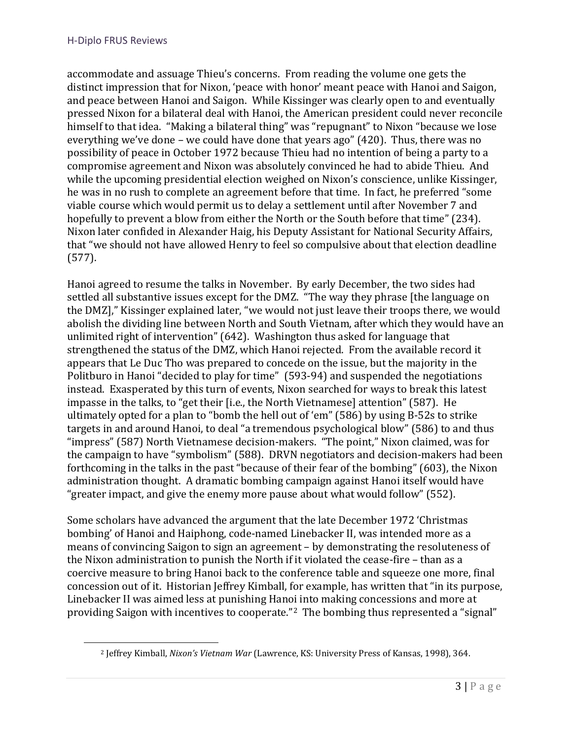<span id="page-2-0"></span>i<br>I

accommodate and assuage Thieu's concerns. From reading the volume one gets the distinct impression that for Nixon, 'peace with honor' meant peace with Hanoi and Saigon, and peace between Hanoi and Saigon. While Kissinger was clearly open to and eventually pressed Nixon for a bilateral deal with Hanoi, the American president could never reconcile himself to that idea. "Making a bilateral thing" was "repugnant" to Nixon "because we lose everything we've done – we could have done that years ago" (420). Thus, there was no possibility of peace in October 1972 because Thieu had no intention of being a party to a compromise agreement and Nixon was absolutely convinced he had to abide Thieu. And while the upcoming presidential election weighed on Nixon's conscience, unlike Kissinger, he was in no rush to complete an agreement before that time. In fact, he preferred "some viable course which would permit us to delay a settlement until after November 7 and hopefully to prevent a blow from either the North or the South before that time" (234). Nixon later confided in Alexander Haig, his Deputy Assistant for National Security Affairs, that "we should not have allowed Henry to feel so compulsive about that election deadline (577).

Hanoi agreed to resume the talks in November. By early December, the two sides had settled all substantive issues except for the DMZ. "The way they phrase [the language on the DMZ]," Kissinger explained later, "we would not just leave their troops there, we would abolish the dividing line between North and South Vietnam, after which they would have an unlimited right of intervention" (642). Washington thus asked for language that strengthened the status of the DMZ, which Hanoi rejected. From the available record it appears that Le Duc Tho was prepared to concede on the issue, but the majority in the Politburo in Hanoi "decided to play for time" (593-94) and suspended the negotiations instead. Exasperated by this turn of events, Nixon searched for ways to break this latest impasse in the talks, to "get their [i.e., the North Vietnamese] attention" (587). He ultimately opted for a plan to "bomb the hell out of 'em" (586) by using B-52s to strike targets in and around Hanoi, to deal "a tremendous psychological blow" (586) to and thus "impress" (587) North Vietnamese decision-makers. "The point," Nixon claimed, was for the campaign to have "symbolism" (588). DRVN negotiators and decision-makers had been forthcoming in the talks in the past "because of their fear of the bombing" (603), the Nixon administration thought. A dramatic bombing campaign against Hanoi itself would have "greater impact, and give the enemy more pause about what would follow" (552).

Some scholars have advanced the argument that the late December 1972 'Christmas bombing' of Hanoi and Haiphong, code-named Linebacker II, was intended more as a means of convincing Saigon to sign an agreement – by demonstrating the resoluteness of the Nixon administration to punish the North if it violated the cease-fire – than as a coercive measure to bring Hanoi back to the conference table and squeeze one more, final concession out of it. Historian Jeffrey Kimball, for example, has written that "in its purpose, Linebacker II was aimed less at punishing Hanoi into making concessions and more at providing Saigon with incentives to cooperate."[2](#page-2-0) The bombing thus represented a "signal"

<sup>2</sup> Jeffrey Kimball, *Nixon's Vietnam War* (Lawrence, KS: University Press of Kansas, 1998), 364.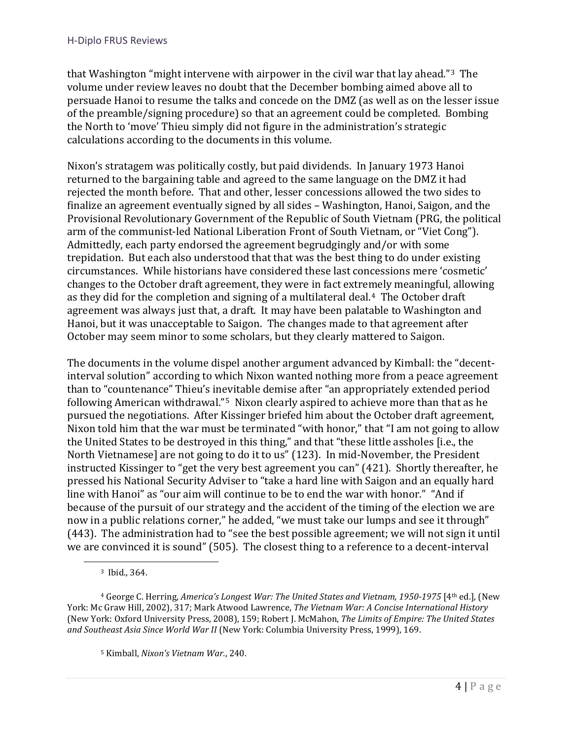that Washington "might intervene with airpower in the civil war that lay ahead."[3](#page-3-0) The volume under review leaves no doubt that the December bombing aimed above all to persuade Hanoi to resume the talks and concede on the DMZ (as well as on the lesser issue of the preamble/signing procedure) so that an agreement could be completed. Bombing the North to 'move' Thieu simply did not figure in the administration's strategic calculations according to the documents in this volume.

Nixon's stratagem was politically costly, but paid dividends. In January 1973 Hanoi returned to the bargaining table and agreed to the same language on the DMZ it had rejected the month before. That and other, lesser concessions allowed the two sides to finalize an agreement eventually signed by all sides – Washington, Hanoi, Saigon, and the Provisional Revolutionary Government of the Republic of South Vietnam (PRG, the political arm of the communist-led National Liberation Front of South Vietnam, or "Viet Cong"). Admittedly, each party endorsed the agreement begrudgingly and/or with some trepidation. But each also understood that that was the best thing to do under existing circumstances. While historians have considered these last concessions mere 'cosmetic' changes to the October draft agreement, they were in fact extremely meaningful, allowing as they did for the completion and signing of a multilateral deal.[4](#page-3-1) The October draft agreement was always just that, a draft. It may have been palatable to Washington and Hanoi, but it was unacceptable to Saigon. The changes made to that agreement after October may seem minor to some scholars, but they clearly mattered to Saigon.

The documents in the volume dispel another argument advanced by Kimball: the "decentinterval solution" according to which Nixon wanted nothing more from a peace agreement than to "countenance" Thieu's inevitable demise after "an appropriately extended period following American withdrawal."[5](#page-3-2) Nixon clearly aspired to achieve more than that as he pursued the negotiations. After Kissinger briefed him about the October draft agreement, Nixon told him that the war must be terminated "with honor," that "I am not going to allow the United States to be destroyed in this thing," and that "these little assholes [i.e., the North Vietnamese] are not going to do it to us" (123). In mid-November, the President instructed Kissinger to "get the very best agreement you can" (421). Shortly thereafter, he pressed his National Security Adviser to "take a hard line with Saigon and an equally hard line with Hanoi" as "our aim will continue to be to end the war with honor." "And if because of the pursuit of our strategy and the accident of the timing of the election we are now in a public relations corner," he added, "we must take our lumps and see it through" (443). The administration had to "see the best possible agreement; we will not sign it until we are convinced it is sound" (505). The closest thing to a reference to a decent-interval

i<br>I

<sup>3</sup> Ibid., 364.

<span id="page-3-2"></span><span id="page-3-1"></span><span id="page-3-0"></span><sup>4</sup> George C. Herring, *America's Longest War: The United States and Vietnam, 1950-1975* [4th ed.], (New York: Mc Graw Hill, 2002), 317; Mark Atwood Lawrence, *The Vietnam War: A Concise International History* (New York: Oxford University Press, 2008), 159; Robert J. McMahon, *The Limits of Empire: The United States and Southeast Asia Since World War II* (New York: Columbia University Press, 1999), 169.

<sup>5</sup> Kimball, *Nixon's Vietnam War.*, 240.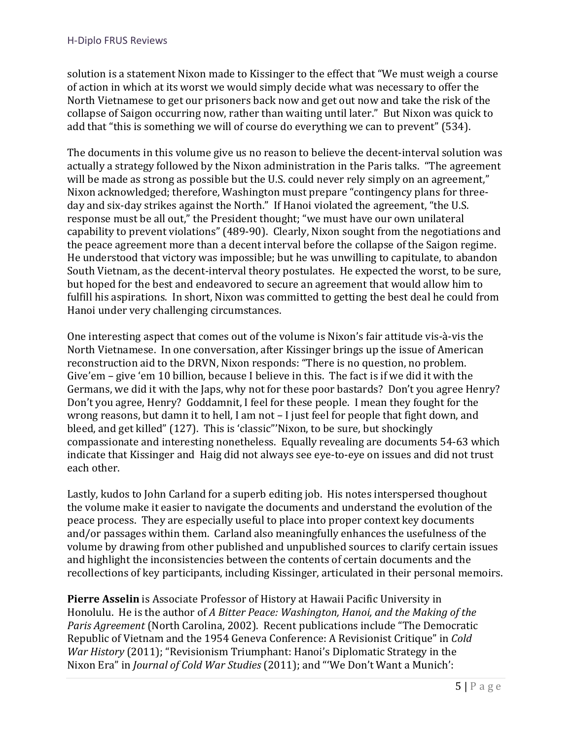solution is a statement Nixon made to Kissinger to the effect that "We must weigh a course of action in which at its worst we would simply decide what was necessary to offer the North Vietnamese to get our prisoners back now and get out now and take the risk of the collapse of Saigon occurring now, rather than waiting until later." But Nixon was quick to add that "this is something we will of course do everything we can to prevent" (534).

The documents in this volume give us no reason to believe the decent-interval solution was actually a strategy followed by the Nixon administration in the Paris talks. "The agreement will be made as strong as possible but the U.S. could never rely simply on an agreement," Nixon acknowledged; therefore, Washington must prepare "contingency plans for threeday and six-day strikes against the North." If Hanoi violated the agreement, "the U.S. response must be all out," the President thought; "we must have our own unilateral capability to prevent violations" (489-90). Clearly, Nixon sought from the negotiations and the peace agreement more than a decent interval before the collapse of the Saigon regime. He understood that victory was impossible; but he was unwilling to capitulate, to abandon South Vietnam, as the decent-interval theory postulates. He expected the worst, to be sure, but hoped for the best and endeavored to secure an agreement that would allow him to fulfill his aspirations. In short, Nixon was committed to getting the best deal he could from Hanoi under very challenging circumstances.

One interesting aspect that comes out of the volume is Nixon's fair attitude vis-à-vis the North Vietnamese. In one conversation, after Kissinger brings up the issue of American reconstruction aid to the DRVN, Nixon responds: "There is no question, no problem. Give'em – give 'em 10 billion, because I believe in this. The fact is if we did it with the Germans, we did it with the Japs, why not for these poor bastards? Don't you agree Henry? Don't you agree, Henry? Goddamnit, I feel for these people. I mean they fought for the wrong reasons, but damn it to hell, I am not – I just feel for people that fight down, and bleed, and get killed" (127). This is 'classic"'Nixon, to be sure, but shockingly compassionate and interesting nonetheless. Equally revealing are documents 54-63 which indicate that Kissinger and Haig did not always see eye-to-eye on issues and did not trust each other.

Lastly, kudos to John Carland for a superb editing job. His notes interspersed thoughout the volume make it easier to navigate the documents and understand the evolution of the peace process. They are especially useful to place into proper context key documents and/or passages within them. Carland also meaningfully enhances the usefulness of the volume by drawing from other published and unpublished sources to clarify certain issues and highlight the inconsistencies between the contents of certain documents and the recollections of key participants, including Kissinger, articulated in their personal memoirs.

**Pierre Asselin** is Associate Professor of History at Hawaii Pacific University in Honolulu. He is the author of *A Bitter Peace: Washington, Hanoi, and the Making of the Paris Agreement* (North Carolina, 2002). Recent publications include "The Democratic Republic of Vietnam and the 1954 Geneva Conference: A Revisionist Critique" in *Cold War History* (2011); "Revisionism Triumphant: Hanoi's Diplomatic Strategy in the Nixon Era" in *Journal of Cold War Studies* (2011); and "'We Don't Want a Munich':